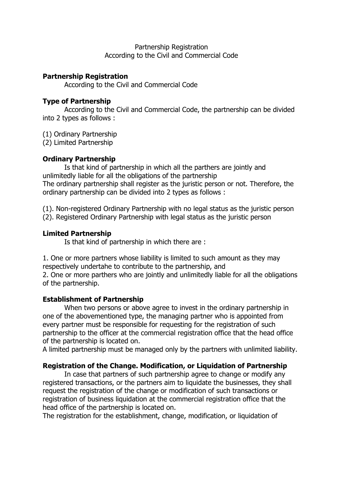#### Partnership Registration According to the Civil and Commercial Code

### **Partnership Registration**

According to the Civil and Commercial Code

## **Type of Partnership**

 According to the Civil and Commercial Code, the partnership can be divided into 2 types as follows :

(1) Ordinary Partnership

(2) Limited Partnership

# **Ordinary Partnership**

 Is that kind of partnership in which all the parthers are jointly and unlimitedly liable for all the obligations of the partnership The ordinary partnership shall register as the juristic person or not. Therefore, the ordinary partnership can be divided into 2 types as follows :

(1). Non-registered Ordinary Partnership with no legal status as the juristic person

(2). Registered Ordinary Partnership with legal status as the juristic person

## **Limited Partnership**

Is that kind of partnership in which there are :

1. One or more partners whose liability is limited to such amount as they may respectively undertahe to contribute to the partnership, and

2. One or more parthers who are jointly and unlimitedly liable for all the obligations of the partnership.

# **Establishment of Partnership**

 When two persons or above agree to invest in the ordinary partnership in one of the abovementioned type, the managing partner who is appointed from every partner must be responsible for requesting for the registration of such partnership to the officer at the commercial registration office that the head office of the partnership is located on.

A limited partnership must be managed only by the partners with unlimited liability.

# **Registration of the Change. Modification, or Liquidation of Partnership**

 In case that partners of such partnership agree to change or modify any registered transactions, or the partners aim to liquidate the businesses, they shall request the registration of the change or modification of such transactions or registration of business liquidation at the commercial registration office that the head office of the partnership is located on.

The registration for the establishment, change, modification, or liquidation of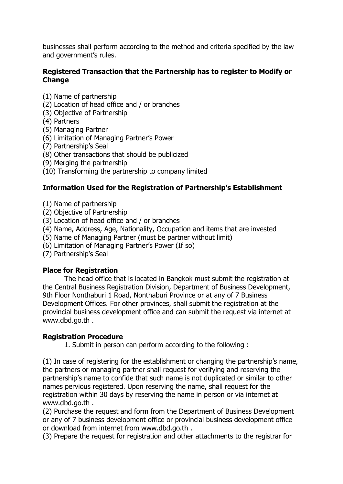businesses shall perform according to the method and criteria specified by the law and government's rules.

#### **Registered Transaction that the Partnership has to register to Modify or Change**

- (1) Name of partnership
- (2) Location of head office and / or branches
- (3) Objective of Partnership
- (4) Partners
- (5) Managing Partner
- (6) Limitation of Managing Partner's Power
- (7) Partnership's Seal
- (8) Other transactions that should be publicized
- (9) Merging the partnership
- (10) Transforming the partnership to company limited

### **Information Used for the Registration of Partnership's Establishment**

- (1) Name of partnership
- (2) Objective of Partnership
- (3) Location of head office and / or branches
- (4) Name, Address, Age, Nationality, Occupation and items that are invested
- (5) Name of Managing Partner (must be partner without limit)
- (6) Limitation of Managing Partner's Power (If so)
- (7) Partnership's Seal

#### **Place for Registration**

 The head office that is located in Bangkok must submit the registration at the Central Business Registration Division, Department of Business Development, 9th Floor Nonthaburi 1 Road, Nonthaburi Province or at any of 7 Business Development Offices. For other provinces, shall submit the registration at the provincial business development office and can submit the request via internet at www.dbd.go.th .

#### **Registration Procedure**

1. Submit in person can perform according to the following :

(1) In case of registering for the establishment or changing the partnership's name, the partners or managing partner shall request for verifying and reserving the partnership's name to confide that such name is not duplicated or similar to other names pervious registered. Upon reserving the name, shall request for the registration within 30 days by reserving the name in person or via internet at www.dbd.go.th .

(2) Purchase the request and form from the Department of Business Development or any of 7 business development office or provincial business development office or download from internet from www.dbd.go.th .

(3) Prepare the request for registration and other attachments to the registrar for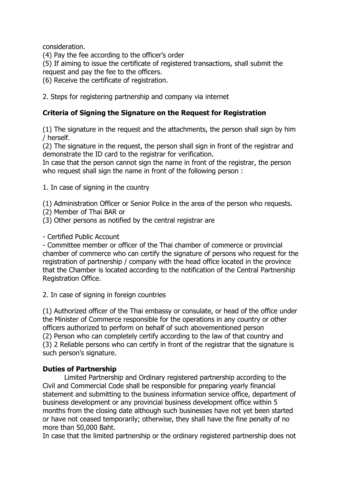consideration.

(4) Pay the fee according to the officer's order

(5) If aiming to issue the certificate of registered transactions, shall submit the request and pay the fee to the officers.

(6) Receive the certificate of registration.

2. Steps for registering partnership and company via internet

## **Criteria of Signing the Signature on the Request for Registration**

(1) The signature in the request and the attachments, the person shall sign by him / herself.

(2) The signature in the request, the person shall sign in front of the registrar and demonstrate the ID card to the registrar for verification.

In case that the person cannot sign the name in front of the registrar, the person who request shall sign the name in front of the following person :

1. In case of signing in the country

(1) Administration Officer or Senior Police in the area of the person who requests.

- (2) Member of Thai BAR or
- (3) Other persons as notified by the central registrar are

- Certified Public Account

- Committee member or officer of the Thai chamber of commerce or provincial chamber of commerce who can certify the signature of persons who request for the registration of partnership / company with the head office located in the province that the Chamber is located according to the notification of the Central Partnership Registration Office.

2. In case of signing in foreign countries

(1) Authorized officer of the Thai embassy or consulate, or head of the office under the Minister of Commerce responsible for the operations in any country or other officers authorized to perform on behalf of such abovementioned person (2) Person who can completely certify according to the law of that country and (3) 2 Reliable persons who can certify in front of the registrar that the signature is such person's signature.

### **Duties of Partnership**

 Limited Partnership and Ordinary registered partnership according to the Civil and Commercial Code shall be responsible for preparing yearly financial statement and submitting to the business information service office, department of business development or any provincial business development office within 5 months from the closing date although such businesses have not yet been started or have not ceased temporarily; otherwise, they shall have the fine penalty of no more than 50,000 Baht.

In case that the limited partnership or the ordinary registered partnership does not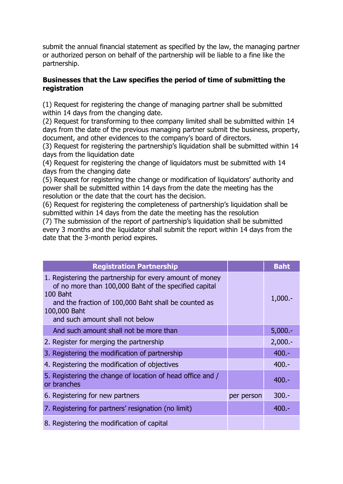submit the annual financial statement as specified by the law, the managing partner or authorized person on behalf of the partnership will be liable to a fine like the partnership.

#### **Businesses that the Law specifies the period of time of submitting the registration**

(1) Request for registering the change of managing partner shall be submitted within 14 days from the changing date.

(2) Request for transforming to thee company limited shall be submitted within 14 days from the date of the previous managing partner submit the business, property, document, and other evidences to the company's board of directors.

(3) Request for registering the partnership's liquidation shall be submitted within 14 days from the liquidation date

(4) Request for registering the change of liquidators must be submitted with 14 days from the changing date

(5) Request for registering the change or modification of liquidators' authority and power shall be submitted within 14 days from the date the meeting has the resolution or the date that the court has the decision.

(6) Request for registering the completeness of partnership's liquidation shall be submitted within 14 days from the date the meeting has the resolution (7) The submission of the report of partnership's liquidation shall be submitted every 3 months and the liquidator shall submit the report within 14 days from the date that the 3-month period expires.

| <b>Registration Partnership</b>                                                                                                                                                                                                          |            | <b>Baht</b> |
|------------------------------------------------------------------------------------------------------------------------------------------------------------------------------------------------------------------------------------------|------------|-------------|
| 1. Registering the partnership for every amount of money<br>of no more than 100,000 Baht of the specified capital<br>100 Baht<br>and the fraction of 100,000 Baht shall be counted as<br>100,000 Baht<br>and such amount shall not below |            | $1,000. -$  |
| And such amount shall not be more than                                                                                                                                                                                                   |            | $5,000.-$   |
| 2. Register for merging the partnership                                                                                                                                                                                                  |            | $2,000.-$   |
| 3. Registering the modification of partnership                                                                                                                                                                                           |            | $400 -$     |
| 4. Registering the modification of objectives                                                                                                                                                                                            |            | $400 -$     |
| 5. Registering the change of location of head office and /<br>or branches                                                                                                                                                                |            | $400 -$     |
| 6. Registering for new partners                                                                                                                                                                                                          | per person | $300 -$     |
| 7. Registering for partners' resignation (no limit)                                                                                                                                                                                      |            | $400 -$     |
| 8. Registering the modification of capital                                                                                                                                                                                               |            |             |